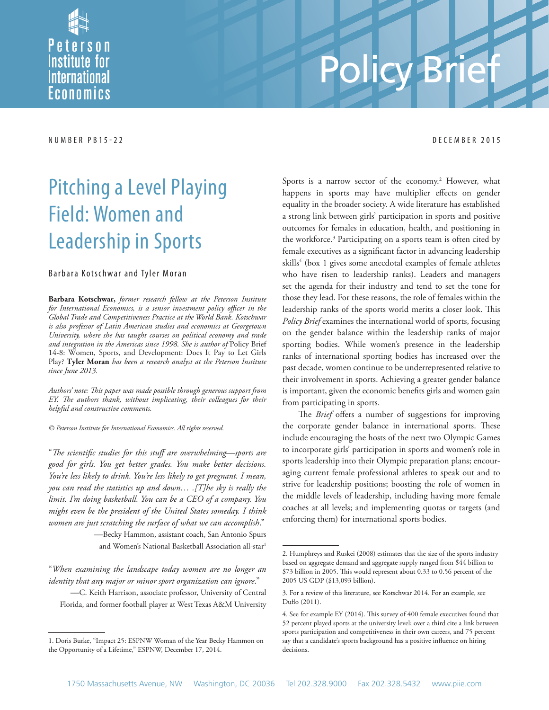

# Policy

NUMBER PB15-22 DECEMBER 2015

## Pitching a Level Playing Field: Women and Leadership in Sports

#### Barbara Kotschwar and Tyler Moran

**Barbara Kotschwar,** *former research fellow at the Peterson Institute*  for International Economics, is a senior investment policy officer in the *Global Trade and Competitiveness Practice at the World Bank. Kotschwar is also professor of Latin American studies and economics at Georgetown University, where she has taught courses on political economy and trade and integration in the Americas since 1998. She is author of* Policy Brief 14-8: Women, Sports, and Development: Does It Pay to Let Girls Play? **Tyler Moran** *has been a research analyst at the Peterson Institute since June 2013.*

Authors' note: This paper was made possible through generous support from *EY. The authors thank, without implicating, their colleagues for their helpful and constructive comments.*

*© Peterson Institute for International Economics. All rights reserved.*

"The scientific studies for this stuff are overwhelming—sports are *good for girls. You get better grades. You make better decisions. You're less likely to drink. You're less likely to get pregnant. I mean, you can read the statistics up and down… .[T]he sky is really the limit. I'm doing basketball. You can be a CEO of a company. You might even be the president of the United States someday. I think women are just scratching the surface of what we can accomplish*."

> —Becky Hammon, assistant coach, San Antonio Spurs and Women's National Basketball Association all-star<sup>1</sup>

"*When examining the landscape today women are no longer an identity that any major or minor sport organization can ignore*."

—C. Keith Harrison, associate professor, University of Central Florida, and former football player at West Texas A&M University

Sports is a narrow sector of the economy.<sup>2</sup> However, what happens in sports may have multiplier effects on gender equality in the broader society. A wide literature has established a strong link between girls' participation in sports and positive outcomes for females in education, health, and positioning in the workforce.3 Participating on a sports team is often cited by female executives as a significant factor in advancing leadership skills<sup>4</sup> (box 1 gives some anecdotal examples of female athletes who have risen to leadership ranks). Leaders and managers set the agenda for their industry and tend to set the tone for those they lead. For these reasons, the role of females within the leadership ranks of the sports world merits a closer look. This *Policy Brief* examines the international world of sports, focusing on the gender balance within the leadership ranks of major sporting bodies. While women's presence in the leadership ranks of international sporting bodies has increased over the past decade, women continue to be underrepresented relative to their involvement in sports. Achieving a greater gender balance is important, given the economic benefits girls and women gain from participating in sports.

The *Brief* offers a number of suggestions for improving the corporate gender balance in international sports. These include encouraging the hosts of the next two Olympic Games to incorporate girls' participation in sports and women's role in sports leadership into their Olympic preparation plans; encouraging current female professional athletes to speak out and to strive for leadership positions; boosting the role of women in the middle levels of leadership, including having more female coaches at all levels; and implementing quotas or targets (and enforcing them) for international sports bodies.

<sup>1.</sup> Doris Burke, "Impact 25: ESPNW Woman of the Year Becky Hammon on the Opportunity of a Lifetime," ESPNW, December 17, 2014.

<sup>2.</sup> Humphreys and Ruskei (2008) estimates that the size of the sports industry based on aggregate demand and aggregate supply ranged from \$44 billion to  $$73$  billion in 2005. This would represent about 0.33 to 0.56 percent of the 2005 US GDP (\$13,093 billion).

<sup>3.</sup> For a review of this literature, see Kotschwar 2014. For an example, see Duflo (2011).

<sup>4.</sup> See for example EY (2014). This survey of 400 female executives found that 52 percent played sports at the university level; over a third cite a link between sports participation and competitiveness in their own careers, and 75 percent say that a candidate's sports background has a positive influence on hiring decisions.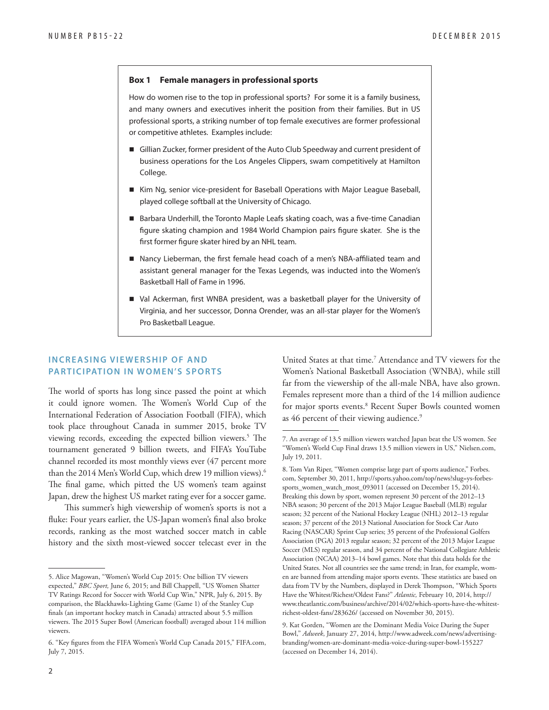#### **Box 1 Female managers in professional sports**

How do women rise to the top in professional sports? For some it is a family business, and many owners and executives inherit the position from their families. But in US professional sports, a striking number of top female executives are former professional or competitive athletes. Examples include:

- Gillian Zucker, former president of the Auto Club Speedway and current president of business operations for the Los Angeles Clippers, swam competitively at Hamilton College.
- Kim Ng, senior vice-president for Baseball Operations with Major League Baseball, played college softball at the University of Chicago.
- Barbara Underhill, the Toronto Maple Leafs skating coach, was a five-time Canadian figure skating champion and 1984 World Champion pairs figure skater. She is the first former figure skater hired by an NHL team.
- Nancy Lieberman, the first female head coach of a men's NBA-affiliated team and assistant general manager for the Texas Legends, was inducted into the Women's Basketball Hall of Fame in 1996.
- Val Ackerman, first WNBA president, was a basketball player for the University of Virginia, and her successor, Donna Orender, was an all-star player for the Women's Pro Basketball League.

#### **INCREASING VIEWERSHIP OF AND PARTICIPATION IN WOMEN'S SPORTS**

The world of sports has long since passed the point at which it could ignore women. The Women's World Cup of the International Federation of Association Football (FIFA), which took place throughout Canada in summer 2015, broke TV viewing records, exceeding the expected billion viewers.<sup>5</sup> The tournament generated 9 billion tweets, and FIFA's YouTube channel recorded its most monthly views ever (47 percent more than the 2014 Men's World Cup, which drew 19 million views).6 The final game, which pitted the US women's team against Japan, drew the highest US market rating ever for a soccer game.

This summer's high viewership of women's sports is not a fluke: Four years earlier, the US-Japan women's final also broke records, ranking as the most watched soccer match in cable history and the sixth most-viewed soccer telecast ever in the

United States at that time.<sup>7</sup> Attendance and TV viewers for the Women's National Basketball Association (WNBA), while still far from the viewership of the all-male NBA, have also grown. Females represent more than a third of the 14 million audience for major sports events.<sup>8</sup> Recent Super Bowls counted women as 46 percent of their viewing audience.<sup>9</sup>

<sup>5.</sup> Alice Magowan, "Women's World Cup 2015: One billion TV viewers expected," *BBC Sport,* June 6, 2015; and Bill Chappell, "US Women Shatter TV Ratings Record for Soccer with World Cup Win," NPR, July 6, 2015. By comparison, the Blackhawks-Lighting Game (Game 1) of the Stanley Cup finals (an important hockey match in Canada) attracted about 5.5 million viewers. The 2015 Super Bowl (American football) averaged about 114 million viewers.

<sup>6. &</sup>quot;Key figures from the FIFA Women's World Cup Canada 2015," FIFA.com, July 7, 2015.

<sup>7.</sup> An average of 13.5 million viewers watched Japan beat the US women. See "Women's World Cup Final draws 13.5 million viewers in US," Nielsen.com, July 19, 2011.

<sup>8.</sup> Tom Van Riper, "Women comprise large part of sports audience," Forbes. [com, September 30, 2011, http://sports.yahoo.com/top/news?slug=ys-forbes](http://sports.yahoo.com/top/news?slug=ys-forbes-sports_women_watch_most_093011)sports\_women\_watch\_most\_093011 (accessed on December 15, 2014). Breaking this down by sport, women represent 30 percent of the 2012–13 NBA season; 30 percent of the 2013 Major League Baseball (MLB) regular season; 32 percent of the National Hockey League (NHL) 2012–13 regular season; 37 percent of the 2013 National Association for Stock Car Auto Racing (NASCAR) Sprint Cup series; 35 percent of the Professional Golfers Association (PGA) 2013 regular season; 32 percent of the 2013 Major League Soccer (MLS) regular season, and 34 percent of the National Collegiate Athletic Association (NCAA) 2013–14 bowl games. Note that this data holds for the United States. Not all countries see the same trend; in Iran, for example, women are banned from attending major sports events. These statistics are based on data from TV by the Numbers, displayed in Derek Thompson, "Which Sports Have the Whitest/Richest/Oldest Fans?" *Atlantic,* February 10, 2014, http:// [www.theatlantic.com/business/archive/2014/02/which-sports-have-the-whitest](http://www.theatlantic.com/business/archive/2014/02/which-sports-have-the-whitest-richest-oldest-fans/283626/)richest-oldest-fans/283626/ (accessed on November 30, 2015).

<sup>9.</sup> Kat Gorden, "Women are the Dominant Media Voice During the Super Bowl," *Adweek*, January 27, 2014, http://www.adweek.com/news/advertising[branding/women-are-dominant-media-voice-during-super-bowl-155227](http://www.adweek.com/news/advertising-branding/women-are-dominant-media-voice-during-super-bowl-155227)  (accessed on December 14, 2014).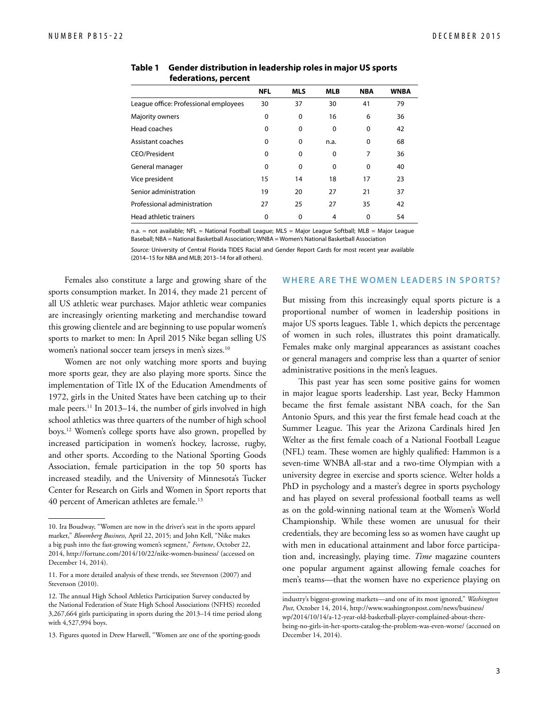|                                       | <b>NFL</b> | <b>MLS</b> | <b>MLB</b>     | <b>NBA</b> | <b>WNBA</b> |
|---------------------------------------|------------|------------|----------------|------------|-------------|
| League office: Professional employees | 30         | 37         | 30             | 41         | 79          |
| Majority owners                       | 0          | 0          | 16             | 6          | 36          |
| Head coaches                          | 0          | 0          | 0              | 0          | 42          |
| Assistant coaches                     | 0          | 0          | n.a.           | 0          | 68          |
| CEO/President                         | 0          | 0          | 0              | 7          | 36          |
| General manager                       | 0          | 0          | 0              | 0          | 40          |
| Vice president                        | 15         | 14         | 18             | 17         | 23          |
| Senior administration                 | 19         | 20         | 27             | 21         | 37          |
| Professional administration           | 27         | 25         | 27             | 35         | 42          |
| Head athletic trainers                | 0          | 0          | $\overline{4}$ | $\Omega$   | 54          |

 **federations, percent**

n.a. = not available; NFL = National Football League; MLS = Major League Softball; MLB = Major League Baseball; NBA = National Basketball Association; WNBA = Women's National Basketball Association

*Source:* University of Central Florida TIDES Racial and Gender Report Cards for most recent year available (2014–15 for NBA and MLB; 2013–14 for all others).

Females also constitute a large and growing share of the sports consumption market. In 2014, they made 21 percent of all US athletic wear purchases. Major athletic wear companies are increasingly orienting marketing and merchandise toward this growing clientele and are beginning to use popular women's sports to market to men: In April 2015 Nike began selling US women's national soccer team jerseys in men's sizes.<sup>10</sup>

Women are not only watching more sports and buying more sports gear, they are also playing more sports. Since the implementation of Title IX of the Education Amendments of 1972, girls in the United States have been catching up to their male peers.<sup>11</sup> In 2013–14, the number of girls involved in high school athletics was three quarters of the number of high school boys.12 Women's college sports have also grown, propelled by increased participation in women's hockey, lacrosse, rugby, and other sports. According to the National Sporting Goods Association, female participation in the top 50 sports has increased steadily, and the University of Minnesota's Tucker Center for Research on Girls and Women in Sport reports that 40 percent of American athletes are female.13

#### **WHERE ARE THE WOMEN LEADERS IN SPORTS?**

But missing from this increasingly equal sports picture is a proportional number of women in leadership positions in major US sports leagues. Table 1, which depicts the percentage of women in such roles, illustrates this point dramatically. Females make only marginal appearances as assistant coaches or general managers and comprise less than a quarter of senior administrative positions in the men's leagues.

This past year has seen some positive gains for women in major league sports leadership. Last year, Becky Hammon became the first female assistant NBA coach, for the San Antonio Spurs, and this year the first female head coach at the Summer League. This year the Arizona Cardinals hired Jen Welter as the first female coach of a National Football League (NFL) team. These women are highly qualified: Hammon is a seven-time WNBA all-star and a two-time Olympian with a university degree in exercise and sports science. Welter holds a PhD in psychology and a master's degree in sports psychology and has played on several professional football teams as well as on the gold-winning national team at the Women's World Championship. While these women are unusual for their credentials, they are becoming less so as women have caught up with men in educational attainment and labor force participation and, increasingly, playing time. *Time* magazine counters one popular argument against allowing female coaches for men's teams—that the women have no experience playing on **Table 1 Gender distribution in leadership roles in major US sports<br>
<b>Instead of the Massachine and Northern Control in the Massachine and Northern Control in the Massachine Schwarz (1974)<br>
Neurole of the Massachine Contro** 

<sup>10.</sup> Ira Boudway, "Women are now in the driver's seat in the sports apparel market," *Bloomberg Business,* April 22, 2015; and John Kell, "Nike makes a big push into the fast-growing women's segment," *Fortune*, October 22, 2014, http://fortune.com/2014/10/22/nike-women-business/ (accessed on December 14, 2014).

<sup>11.</sup> For a more detailed analysis of these trends, see Stevenson (2007) and Stevenson (2010).

<sup>12.</sup> The annual High School Athletics Participation Survey conducted by the National Federation of State High School Associations (NFHS) recorded 3,267,664 girls participating in sports during the 2013–14 time period along with 4,527,994 boys.

<sup>13.</sup> Figures quoted in Drew Harwell, "Women are one of the sporting-goods

industry's biggest-growing markets—and one of its most ignored," *Washington Post*, October 14, 2014, http://www.washingtonpost.com/news/business/ wp/2014/10/14/a-12-year-old-basketball-player-complained-about-there[being-no-girls-in-her-sports-catalog-the-problem-was-even-worse/ \(accesse](http://www.washingtonpost.com/news/business/wp/2014/10/14/a-12-year-old-basketball-player-complained-about-there-being-no-girls-in-her-sports-catalog-the-problem-was-even-worse/)d on December 14, 2014).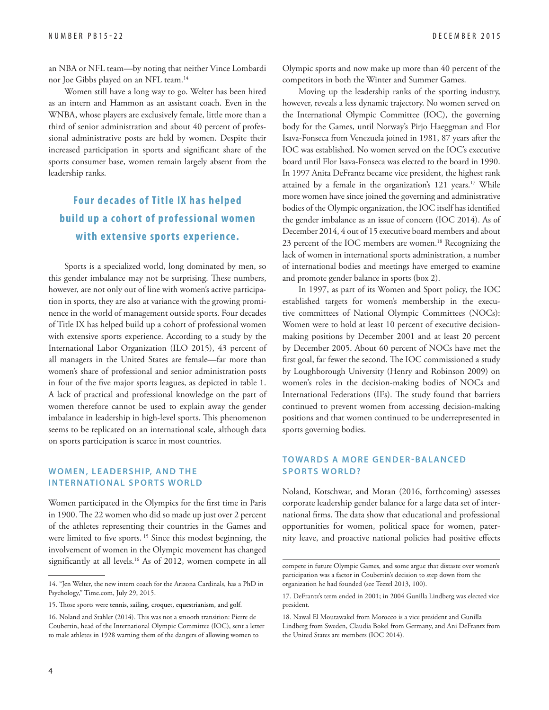an NBA or NFL team—by noting that neither Vince Lombardi nor Joe Gibbs played on an NFL team.14

Women still have a long way to go. Welter has been hired as an intern and Hammon as an assistant coach. Even in the WNBA, whose players are exclusively female, little more than a third of senior administration and about 40 percent of professional administrative posts are held by women. Despite their increased participation in sports and significant share of the sports consumer base, women remain largely absent from the leadership ranks.

### **Four dec ades of Title IX has helped build up a cohort of professional women with extensive sports experience.**

Sports is a specialized world, long dominated by men, so this gender imbalance may not be surprising. These numbers, however, are not only out of line with women's active participation in sports, they are also at variance with the growing prominence in the world of management outside sports. Four decades of Title IX has helped build up a cohort of professional women with extensive sports experience. According to a study by the International Labor Organization (ILO 2015), 43 percent of all managers in the United States are female—far more than women's share of professional and senior administration posts in four of the five major sports leagues, as depicted in table 1. A lack of practical and professional knowledge on the part of women therefore cannot be used to explain away the gender imbalance in leadership in high-level sports. This phenomenon seems to be replicated on an international scale, although data on sports participation is scarce in most countries.

#### **WOMEN, LEADERSHIP, AND THE INTERNATIONAL SPORTS WORLD**

Women participated in the Olympics for the first time in Paris in 1900. The 22 women who did so made up just over 2 percent of the athletes representing their countries in the Games and were limited to five sports.<sup>15</sup> Since this modest beginning, the involvement of women in the Olympic movement has changed significantly at all levels.<sup>16</sup> As of 2012, women compete in all Olympic sports and now make up more than 40 percent of the competitors in both the Winter and Summer Games.

Moving up the leadership ranks of the sporting industry, however, reveals a less dynamic trajectory. No women served on the International Olympic Committee (IOC), the governing body for the Games, until Norway's Pirjo Haeggman and Flor Isava-Fonseca from Venezuela joined in 1981, 87 years after the IOC was established. No women served on the IOC's executive board until Flor Isava-Fonseca was elected to the board in 1990. In 1997 Anita DeFrantz became vice president, the highest rank attained by a female in the organization's 121 years.<sup>17</sup> While more women have since joined the governing and administrative bodies of the Olympic organization, the IOC itself has identified the gender imbalance as an issue of concern (IOC 2014). As of December 2014, 4 out of 15 executive board members and about 23 percent of the IOC members are women.18 Recognizing the lack of women in international sports administration, a number of international bodies and meetings have emerged to examine and promote gender balance in sports (box 2).

In 1997, as part of its Women and Sport policy, the IOC established targets for women's membership in the executive committees of National Olympic Committees (NOCs): Women were to hold at least 10 percent of executive decisionmaking positions by December 2001 and at least 20 percent by December 2005. About 60 percent of NOCs have met the first goal, far fewer the second. The IOC commissioned a study by Loughborough University (Henry and Robinson 2009) on women's roles in the decision-making bodies of NOCs and International Federations (IFs). The study found that barriers continued to prevent women from accessing decision-making positions and that women continued to be underrepresented in sports governing bodies.

#### **TOWARDS A MORE GENDER-BALANCED SPORTS WORLD?**

Noland, Kotschwar, and Moran (2016, forthcoming) assesses corporate leadership gender balance for a large data set of international firms. The data show that educational and professional opportunities for women, political space for women, paternity leave, and proactive national policies had positive effects

<sup>14. &</sup>quot;Jen Welter, the new intern coach for the Arizona Cardinals, has a PhD in Psychology," Time.com, July 29, 2015.

<sup>15.</sup> Those sports were tennis, sailing, croquet, equestrianism, and golf.

<sup>16.</sup> Noland and Stahler (2014). This was not a smooth transition: Pierre de Coubertin, head of the International Olympic Committee (IOC), sent a letter to male athletes in 1928 warning them of the dangers of allowing women to

compete in future Olympic Games, and some argue that distaste over women's participation was a factor in Coubertin's decision to step down from the organization he had founded (see Teezel 2013, 100).

<sup>17.</sup> DeFrantz's term ended in 2001; in 2004 Gunilla Lindberg was elected vice president.

<sup>18.</sup> Nawal El Moutawakel from Morocco is a vice president and Gunilla

Lindberg from Sweden, Claudia Bokel from Germany, and Ani DeFrantz from the United States are members (IOC 2014).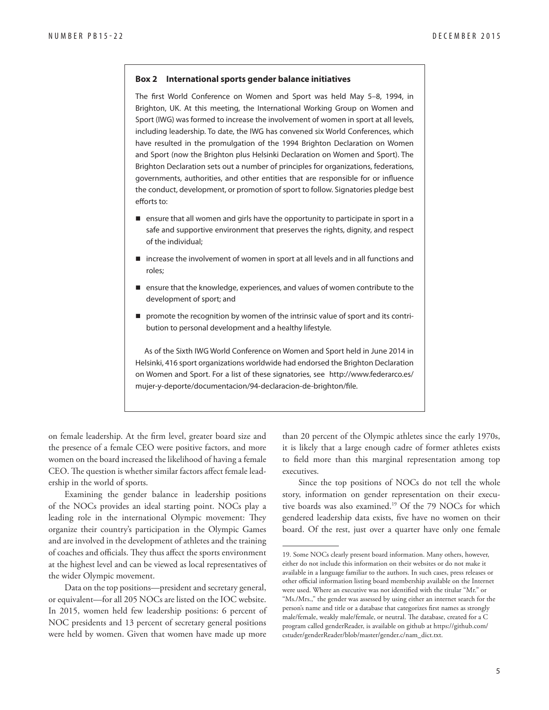#### **Box 2 International sports gender balance initiatives**

The first World Conference on Women and Sport was held May 5–8, 1994, in Brighton, UK. At this meeting, the International Working Group on Women and Sport (IWG) was formed to increase the involvement of women in sport at all levels, including leadership. To date, the IWG has convened six World Conferences, which have resulted in the promulgation of the 1994 Brighton Declaration on Women and Sport (now the Brighton plus Helsinki Declaration on Women and Sport). The Brighton Declaration sets out a number of principles for organizations, federations, governments, authorities, and other entities that are responsible for or influence the conduct, development, or promotion of sport to follow. Signatories pledge best efforts to:

- $\blacksquare$  ensure that all women and girls have the opportunity to participate in sport in a safe and supportive environment that preserves the rights, dignity, and respect of the individual;
- increase the involvement of women in sport at all levels and in all functions and roles;
- **E** ensure that the knowledge, experiences, and values of women contribute to the development of sport; and
- **P** promote the recognition by women of the intrinsic value of sport and its contribution to personal development and a healthy lifestyle.

As of the Sixth IWG World Conference on Women and Sport held in June 2014 in Helsinki, 416 sport organizations worldwide had endorsed the Brighton Declaration [on Women and Sport. For a list of these signatories, see http://www.federarco.es/](http://www.federarco.es/mujer-y-deporte/documentacion/94-declaracion-de-brighton/file) mujer-y-deporte/documentacion/94-declaracion-de-brighton/file.

on female leadership. At the firm level, greater board size and the presence of a female CEO were positive factors, and more women on the board increased the likelihood of having a female CEO. The question is whether similar factors affect female leadership in the world of sports.

Examining the gender balance in leadership positions of the NOCs provides an ideal starting point. NOCs play a leading role in the international Olympic movement: They organize their country's participation in the Olympic Games and are involved in the development of athletes and the training of coaches and officials. They thus affect the sports environment at the highest level and can be viewed as local representatives of the wider Olympic movement.

Data on the top positions—president and secretary general, or equivalent—for all 205 NOCs are listed on the IOC website. In 2015, women held few leadership positions: 6 percent of NOC presidents and 13 percent of secretary general positions were held by women. Given that women have made up more

than 20 percent of the Olympic athletes since the early 1970s, it is likely that a large enough cadre of former athletes exists to field more than this marginal representation among top executives.

Since the top positions of NOCs do not tell the whole story, information on gender representation on their executive boards was also examined.19 Of the 79 NOCs for which gendered leadership data exists, five have no women on their board. Of the rest, just over a quarter have only one female

<sup>19.</sup> Some NOCs clearly present board information. Many others, however, either do not include this information on their websites or do not make it available in a language familiar to the authors. In such cases, press releases or other official information listing board membership available on the Internet were used. Where an executive was not identified with the titular "Mr." or "Ms./Mrs.," the gender was assessed by using either an internet search for the person's name and title or a database that categorizes first names as strongly male/female, weakly male/female, or neutral. The database, created for a C [program called genderReader, is available on github at https://github.com/](https://github.com/cstuder/genderReader/blob/master/gender.c/nam_dict.txt) cstuder/genderReader/blob/master/gender.c/nam\_dict.txt.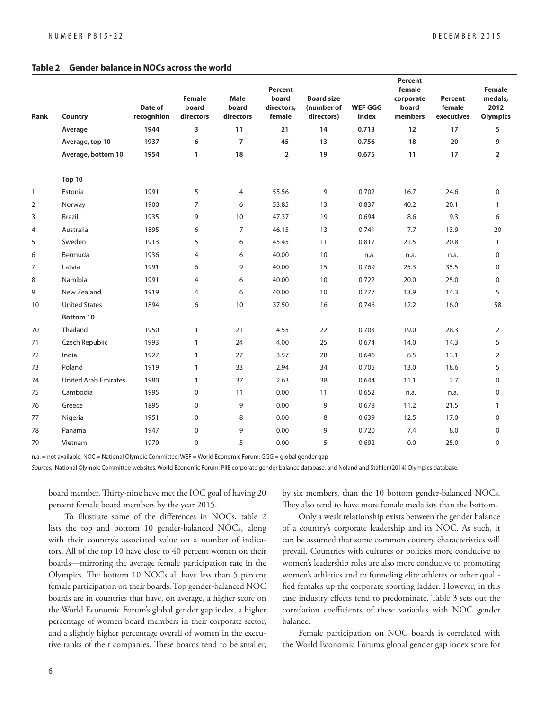#### **Table 2 Gender balance in NOCs across the world**

| <b>Rank</b>  | Country                     | Date of<br>recognition | <b>Female</b><br>board<br>directors | <b>Male</b><br>board<br>directors | <b>Percent</b><br>board<br>directors,<br>female | <b>Board size</b><br>(number of<br>directors) | <b>WEF GGG</b><br>index | <b>Percent</b><br>female<br>corporate<br>board<br>members | <b>Percent</b><br>female<br>executives | <b>Female</b><br>medals,<br>2012<br><b>Olympics</b> |
|--------------|-----------------------------|------------------------|-------------------------------------|-----------------------------------|-------------------------------------------------|-----------------------------------------------|-------------------------|-----------------------------------------------------------|----------------------------------------|-----------------------------------------------------|
|              | Average                     | 1944                   | 3                                   | 11                                | 21                                              | 14                                            | 0.713                   | 12                                                        | 17                                     | 5                                                   |
|              | Average, top 10             | 1937                   | 6                                   | 7                                 | 45                                              | 13                                            | 0.756                   | 18                                                        | 20                                     | 9                                                   |
|              | Average, bottom 10          | 1954                   | $\mathbf{1}$                        | 18                                | $\overline{2}$                                  | 19                                            | 0.675                   | 11                                                        | 17                                     | $\overline{2}$                                      |
|              | Top 10                      |                        |                                     |                                   |                                                 |                                               |                         |                                                           |                                        |                                                     |
| $\mathbf{1}$ | Estonia                     | 1991                   | 5                                   | 4                                 | 55.56                                           | 9                                             | 0.702                   | 16.7                                                      | 24.6                                   | $\mathbf 0$                                         |
| 2            | Norway                      | 1900                   | $\overline{7}$                      | 6                                 | 53.85                                           | 13                                            | 0.837                   | 40.2                                                      | 20.1                                   | $\mathbf{1}$                                        |
| 3            | <b>Brazil</b>               | 1935                   | 9                                   | 10                                | 47.37                                           | 19                                            | 0.694                   | 8.6                                                       | 9.3                                    | 6                                                   |
| 4            | Australia                   | 1895                   | 6                                   | $\overline{7}$                    | 46.15                                           | 13                                            | 0.741                   | 7.7                                                       | 13.9                                   | 20                                                  |
| 5            | Sweden                      | 1913                   | 5                                   | 6                                 | 45.45                                           | 11                                            | 0.817                   | 21.5                                                      | 20.8                                   | $\mathbf{1}$                                        |
| 6            | Bermuda                     | 1936                   | 4                                   | 6                                 | 40.00                                           | 10                                            | n.a.                    | n.a.                                                      | n.a.                                   | $\mathbf 0$                                         |
| 7            | Latvia                      | 1991                   | 6                                   | 9                                 | 40.00                                           | 15                                            | 0.769                   | 25.3                                                      | 35.5                                   | $\mathbf 0$                                         |
| 8            | Namibia                     | 1991                   | 4                                   | 6                                 | 40.00                                           | 10                                            | 0.722                   | 20.0                                                      | 25.0                                   | $\mathbf 0$                                         |
| 9            | New Zealand                 | 1919                   | 4                                   | 6                                 | 40.00                                           | 10                                            | 0.777                   | 13.9                                                      | 14.3                                   | 5                                                   |
| 10           | <b>United States</b>        | 1894                   | 6                                   | 10                                | 37.50                                           | 16                                            | 0.746                   | 12.2                                                      | 16.0                                   | 58                                                  |
|              | Bottom 10                   |                        |                                     |                                   |                                                 |                                               |                         |                                                           |                                        |                                                     |
| 70           | Thailand                    | 1950                   | 1                                   | 21                                | 4.55                                            | 22                                            | 0.703                   | 19.0                                                      | 28.3                                   | 2                                                   |
| 71           | Czech Republic              | 1993                   | $\mathbf{1}$                        | 24                                | 4.00                                            | 25                                            | 0.674                   | 14.0                                                      | 14.3                                   | 5                                                   |
| 72           | India                       | 1927                   | $\mathbf{1}$                        | 27                                | 3.57                                            | 28                                            | 0.646                   | 8.5                                                       | 13.1                                   | 2                                                   |
| 73           | Poland                      | 1919                   | $\mathbf{1}$                        | 33                                | 2.94                                            | 34                                            | 0.705                   | 13.0                                                      | 18.6                                   | 5                                                   |
| 74           | <b>United Arab Emirates</b> | 1980                   | 1                                   | 37                                | 2.63                                            | 38                                            | 0.644                   | 11.1                                                      | 2.7                                    | $\mathbf 0$                                         |
| 75           | Cambodia                    | 1995                   | $\mathbf 0$                         | 11                                | 0.00                                            | 11                                            | 0.652                   | n.a.                                                      | n.a.                                   | $\mathbf 0$                                         |
| 76           | Greece                      | 1895                   | $\mathbf 0$                         | 9                                 | 0.00                                            | 9                                             | 0.678                   | 11.2                                                      | 21.5                                   | $\mathbf{1}$                                        |
| 77           | Nigeria                     | 1951                   | $\mathbf 0$                         | 8                                 | 0.00                                            | 8                                             | 0.639                   | 12.5                                                      | 17.0                                   | $\mathbf 0$                                         |
| 78           | Panama                      | 1947                   | $\Omega$                            | 9                                 | 0.00                                            | 9                                             | 0.720                   | 7.4                                                       | 8.0                                    | $\mathbf 0$                                         |
| 79           | Vietnam                     | 1979                   | $\overline{0}$                      | 5                                 | 0.00                                            | 5                                             | 0.692                   | 0.0                                                       | 25.0                                   | $\Omega$                                            |

n.a. = not available; NOC = National Olympic Committee; WEF = World Economic Forum; GGG = global gender gap

Sources: National Olympic Committee websites, World Economic Forum, PIIE corporate gender balance database, and Noland and Stahler (2014) Olympics database.

board member. Thirty-nine have met the IOC goal of having 20 percent female board members by the year 2015.

To illustrate some of the differences in NOCs, table 2 lists the top and bottom 10 gender-balanced NOCs, along with their country's associated value on a number of indicators. All of the top 10 have close to 40 percent women on their boards—mirroring the average female participation rate in the Olympics. The bottom 10 NOCs all have less than 5 percent female participation on their boards. Top gender-balanced NOC boards are in countries that have, on average, a higher score on the World Economic Forum's global gender gap index, a higher percentage of women board members in their corporate sector, and a slightly higher percentage overall of women in the executive ranks of their companies. These boards tend to be smaller, by six members, than the 10 bottom gender-balanced NOCs. They also tend to have more female medalists than the bottom.

Only a weak relationship exists between the gender balance of a country's corporate leadership and its NOC. As such, it can be assumed that some common country characteristics will prevail. Countries with cultures or policies more conducive to women's leadership roles are also more conducive to promoting women's athletics and to funneling elite athletes or other qualified females up the corporate sporting ladder. However, in this case industry effects tend to predominate. Table 3 sets out the correlation coefficients of these variables with NOC gender balance.

Female participation on NOC boards is correlated with the World Economic Forum's global gender gap index score for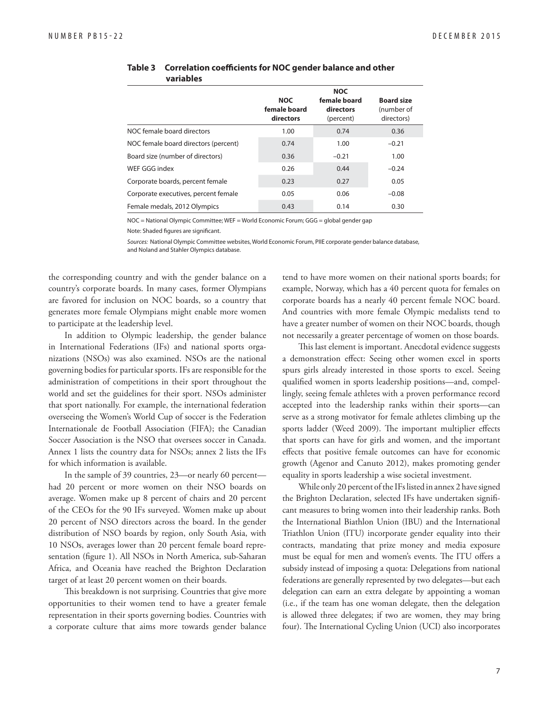|                                      |                                         | <b>NOC</b>                             |                                               |
|--------------------------------------|-----------------------------------------|----------------------------------------|-----------------------------------------------|
|                                      | <b>NOC</b><br>female board<br>directors | female board<br>directors<br>(percent) | <b>Board size</b><br>(number of<br>directors) |
| NOC female board directors           | 1.00                                    | 0.74                                   | 0.36                                          |
| NOC female board directors (percent) | 0.74                                    | 1.00                                   | $-0.21$                                       |
| Board size (number of directors)     | 0.36                                    | $-0.21$                                | 1.00                                          |
| WEF GGG index                        | 0.26                                    | 0.44                                   | $-0.24$                                       |
| Corporate boards, percent female     | 0.23                                    | 0.27                                   | 0.05                                          |
| Corporate executives, percent female | 0.05                                    | 0.06                                   | $-0.08$                                       |
| Female medals, 2012 Olympics         | 0.43                                    | 0.14                                   | 0.30                                          |

#### **Table 3 Correlation coefficients for NOC gender balance and other variables**

NOC = National Olympic Committee; WEF = World Economic Forum; GGG = global gender gap

Note: Shaded figures are significant.

Sources: National Olympic Committee websites, World Economic Forum, PIIE corporate gender balance database, and Noland and Stahler Olympics database.

the corresponding country and with the gender balance on a country's corporate boards. In many cases, former Olympians are favored for inclusion on NOC boards, so a country that generates more female Olympians might enable more women to participate at the leadership level.

In addition to Olympic leadership, the gender balance in International Federations (IFs) and national sports organizations (NSOs) was also examined. NSOs are the national governing bodies for particular sports. IFs are responsible for the administration of competitions in their sport throughout the world and set the guidelines for their sport. NSOs administer that sport nationally. For example, the international federation overseeing the Women's World Cup of soccer is the Federation Internationale de Football Association (FIFA); the Canadian Soccer Association is the NSO that oversees soccer in Canada. Annex 1 lists the country data for NSOs; annex 2 lists the IFs for which information is available.

In the sample of 39 countries, 23—or nearly 60 percent had 20 percent or more women on their NSO boards on average. Women make up 8 percent of chairs and 20 percent of the CEOs for the 90 IFs surveyed. Women make up about 20 percent of NSO directors across the board. In the gender distribution of NSO boards by region, only South Asia, with 10 NSOs, averages lower than 20 percent female board representation (figure 1). All NSOs in North America, sub-Saharan Africa, and Oceania have reached the Brighton Declaration target of at least 20 percent women on their boards.

This breakdown is not surprising. Countries that give more opportunities to their women tend to have a greater female representation in their sports governing bodies. Countries with a corporate culture that aims more towards gender balance tend to have more women on their national sports boards; for example, Norway, which has a 40 percent quota for females on corporate boards has a nearly 40 percent female NOC board. And countries with more female Olympic medalists tend to have a greater number of women on their NOC boards, though not necessarily a greater percentage of women on those boards.

This last element is important. Anecdotal evidence suggests a demonstration effect: Seeing other women excel in sports spurs girls already interested in those sports to excel. Seeing qualified women in sports leadership positions—and, compellingly, seeing female athletes with a proven performance record accepted into the leadership ranks within their sports—can serve as a strong motivator for female athletes climbing up the sports ladder (Weed 2009). The important multiplier effects that sports can have for girls and women, and the important effects that positive female outcomes can have for economic growth (Agenor and Canuto 2012), makes promoting gender equality in sports leadership a wise societal investment.

While only 20 percent of the IFs listed in annex 2 have signed the Brighton Declaration, selected IFs have undertaken significant measures to bring women into their leadership ranks. Both the International Biathlon Union (IBU) and the International Triathlon Union (ITU) incorporate gender equality into their contracts, mandating that prize money and media exposure must be equal for men and women's events. The ITU offers a subsidy instead of imposing a quota: Delegations from national federations are generally represented by two delegates—but each delegation can earn an extra delegate by appointing a woman (i.e., if the team has one woman delegate, then the delegation is allowed three delegates; if two are women, they may bring four). The International Cycling Union (UCI) also incorporates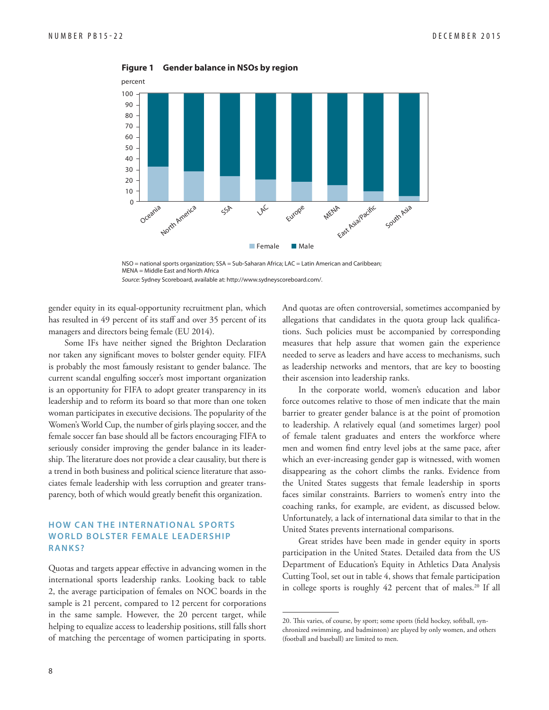

**Figure 1 Gender balance in NSOs by region**

NSO = national sports organization; SSA = Sub-Saharan Africa; LAC = Latin American and Caribbean; MENA = Middle East and North Africa

Source: Sydney Scoreboard, available at: http://www.sydneyscoreboard.com/.

gender equity in its equal-opportunity recruitment plan, which has resulted in 49 percent of its staff and over 35 percent of its managers and directors being female (EU 2014).

Some IFs have neither signed the Brighton Declaration nor taken any significant moves to bolster gender equity. FIFA is probably the most famously resistant to gender balance. The current scandal engulfing soccer's most important organization is an opportunity for FIFA to adopt greater transparency in its leadership and to reform its board so that more than one token woman participates in executive decisions. The popularity of the Women's World Cup, the number of girls playing soccer, and the female soccer fan base should all be factors encouraging FIFA to seriously consider improving the gender balance in its leadership. The literature does not provide a clear causality, but there is a trend in both business and political science literature that associates female leadership with less corruption and greater transparency, both of which would greatly benefit this organization.

#### **HOW CAN THE INTERNATIONAL SPORTS WORLD BOLSTER FEMALE LEADERSHIP RANKS?**

Quotas and targets appear effective in advancing women in the international sports leadership ranks. Looking back to table 2, the average participation of females on NOC boards in the sample is 21 percent, compared to 12 percent for corporations in the same sample. However, the 20 percent target, while helping to equalize access to leadership positions, still falls short of matching the percentage of women participating in sports. And quotas are often controversial, sometimes accompanied by allegations that candidates in the quota group lack qualifications. Such policies must be accompanied by corresponding measures that help assure that women gain the experience needed to serve as leaders and have access to mechanisms, such as leadership networks and mentors, that are key to boosting their ascension into leadership ranks.

In the corporate world, women's education and labor force outcomes relative to those of men indicate that the main barrier to greater gender balance is at the point of promotion to leadership. A relatively equal (and sometimes larger) pool of female talent graduates and enters the workforce where men and women find entry level jobs at the same pace, after which an ever-increasing gender gap is witnessed, with women disappearing as the cohort climbs the ranks. Evidence from the United States suggests that female leadership in sports faces similar constraints. Barriers to women's entry into the coaching ranks, for example, are evident, as discussed below. Unfortunately, a lack of international data similar to that in the United States prevents international comparisons.

Great strides have been made in gender equity in sports participation in the United States. Detailed data from the US Department of Education's Equity in Athletics Data Analysis Cutting Tool, set out in table 4, shows that female participation in college sports is roughly 42 percent that of males.<sup>20</sup> If all

<sup>20.</sup> This varies, of course, by sport; some sports (field hockey, softball, synchronized swimming, and badminton) are played by only women, and others (football and baseball) are limited to men.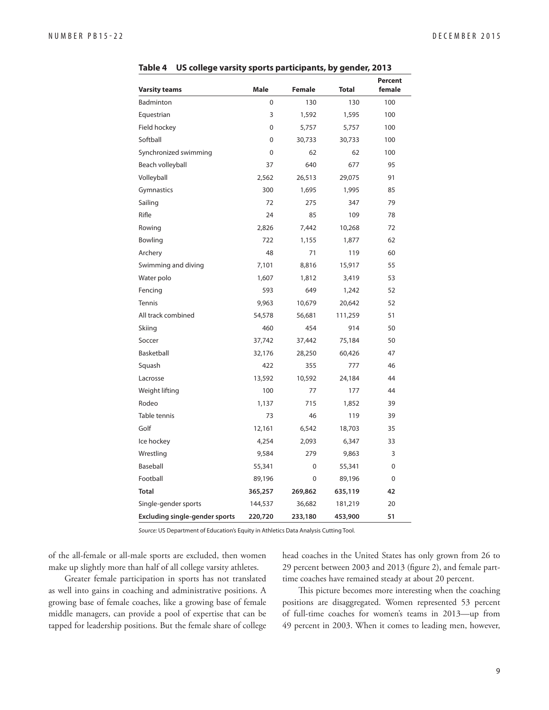| <b>Varsity teams</b>                  | <b>Male</b> | <b>Female</b> | <b>Total</b> | <b>Percent</b><br>female |
|---------------------------------------|-------------|---------------|--------------|--------------------------|
| <b>Badminton</b>                      | 0           | 130           | 130          | 100                      |
| Equestrian                            | 3           | 1,592         | 1,595        | 100                      |
| Field hockey                          | 0           | 5,757         | 5,757        | 100                      |
| Softball                              | $\mathbf 0$ | 30,733        | 30,733       | 100                      |
| Synchronized swimming                 | 0           | 62            | 62           | 100                      |
| Beach volleyball                      | 37          | 640           | 677          | 95                       |
| Volleyball                            | 2,562       | 26,513        | 29,075       | 91                       |
| Gymnastics                            | 300         | 1,695         | 1,995        | 85                       |
| Sailing                               | 72          | 275           | 347          | 79                       |
| Rifle                                 | 24          | 85            | 109          | 78                       |
| Rowing                                | 2,826       | 7,442         | 10,268       | 72                       |
| Bowling                               | 722         | 1,155         | 1,877        | 62                       |
| Archery                               | 48          | 71            | 119          | 60                       |
| Swimming and diving                   | 7,101       | 8,816         | 15,917       | 55                       |
| Water polo                            | 1,607       | 1,812         | 3,419        | 53                       |
| Fencing                               | 593         | 649           | 1,242        | 52                       |
| <b>Tennis</b>                         | 9,963       | 10,679        | 20,642       | 52                       |
| All track combined                    | 54,578      | 56,681        | 111,259      | 51                       |
| Skiing                                | 460         | 454           | 914          | 50                       |
| Soccer                                | 37,742      | 37,442        | 75,184       | 50                       |
| Basketball                            | 32,176      | 28,250        | 60,426       | 47                       |
| Squash                                | 422         | 355           | 777          | 46                       |
| Lacrosse                              | 13,592      | 10,592        | 24,184       | 44                       |
| Weight lifting                        | 100         | 77            | 177          | 44                       |
| Rodeo                                 | 1,137       | 715           | 1,852        | 39                       |
| Table tennis                          | 73          | 46            | 119          | 39                       |
| Golf                                  | 12,161      | 6,542         | 18,703       | 35                       |
| Ice hockey                            | 4,254       | 2,093         | 6,347        | 33                       |
| Wrestling                             | 9,584       | 279           | 9,863        | 3                        |
| Baseball                              | 55,341      | $\Omega$      | 55,341       | 0                        |
| Football                              | 89,196      | 0             | 89,196       | 0                        |
| <b>Total</b>                          | 365,257     | 269,862       | 635,119      | 42                       |
| Single-gender sports                  | 144,537     | 36,682        | 181,219      | 20                       |
| <b>Excluding single-gender sports</b> | 220,720     | 233,180       | 453,900      | 51                       |

**Table 4 US college varsity sports participants, by gender, 2013**

Source: US Department of Education's Equity in Athletics Data Analysis Cutting Tool.

of the all-female or all-male sports are excluded, then women make up slightly more than half of all college varsity athletes.

Greater female participation in sports has not translated as well into gains in coaching and administrative positions. A growing base of female coaches, like a growing base of female middle managers, can provide a pool of expertise that can be tapped for leadership positions. But the female share of college head coaches in the United States has only grown from 26 to 29 percent between 2003 and 2013 (figure 2), and female parttime coaches have remained steady at about 20 percent.

This picture becomes more interesting when the coaching positions are disaggregated. Women represented 53 percent of full-time coaches for women's teams in 2013—up from 49 percent in 2003. When it comes to leading men, however,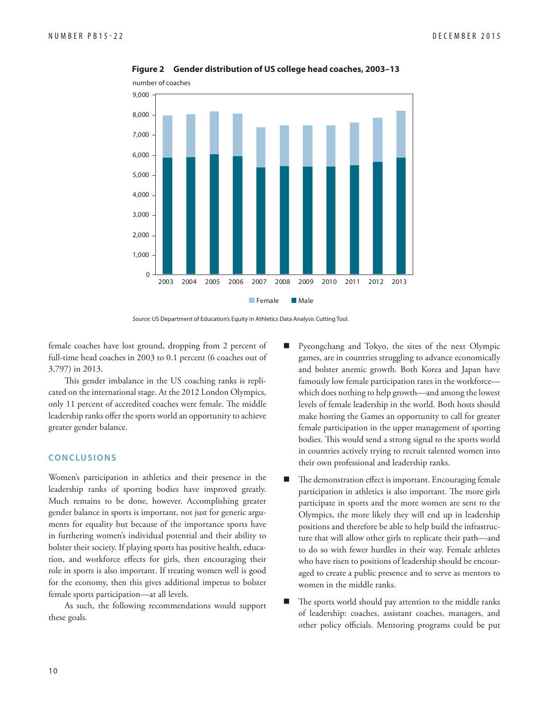

**Figure 2 Gender distribution of US college head coaches, 2003–13**



female coaches have lost ground, dropping from 2 percent of full-time head coaches in 2003 to 0.1 percent (6 coaches out of 3,797) in 2013.

This gender imbalance in the US coaching ranks is replicated on the international stage. At the 2012 London Olympics, only 11 percent of accredited coaches were female. The middle leadership ranks offer the sports world an opportunity to achieve greater gender balance.

#### **CONCLUSIONS**

Women's participation in athletics and their presence in the leadership ranks of sporting bodies have improved greatly. Much remains to be done, however. Accomplishing greater gender balance in sports is important, not just for generic arguments for equality but because of the importance sports have in furthering women's individual potential and their ability to bolster their society. If playing sports has positive health, education, and workforce effects for girls, then encouraging their role in sports is also important. If treating women well is good for the economy, then this gives additional impetus to bolster female sports participation—at all levels.

As such, the following recommendations would support these goals.

- Pyeongchang and Tokyo, the sites of the next Olympic games, are in countries struggling to advance economically and bolster anemic growth. Both Korea and Japan have famously low female participation rates in the workforce which does nothing to help growth—and among the lowest levels of female leadership in the world. Both hosts should make hosting the Games an opportunity to call for greater female participation in the upper management of sporting bodies. This would send a strong signal to the sports world in countries actively trying to recruit talented women into their own professional and leadership ranks.
- $\blacksquare$  The demonstration effect is important. Encouraging female participation in athletics is also important. The more girls participate in sports and the more women are sent to the Olympics, the more likely they will end up in leadership positions and therefore be able to help build the infrastructure that will allow other girls to replicate their path—and to do so with fewer hurdles in their way. Female athletes who have risen to positions of leadership should be encouraged to create a public presence and to serve as mentors to women in the middle ranks.
- The sports world should pay attention to the middle ranks of leadership: coaches, assistant coaches, managers, and other policy officials. Mentoring programs could be put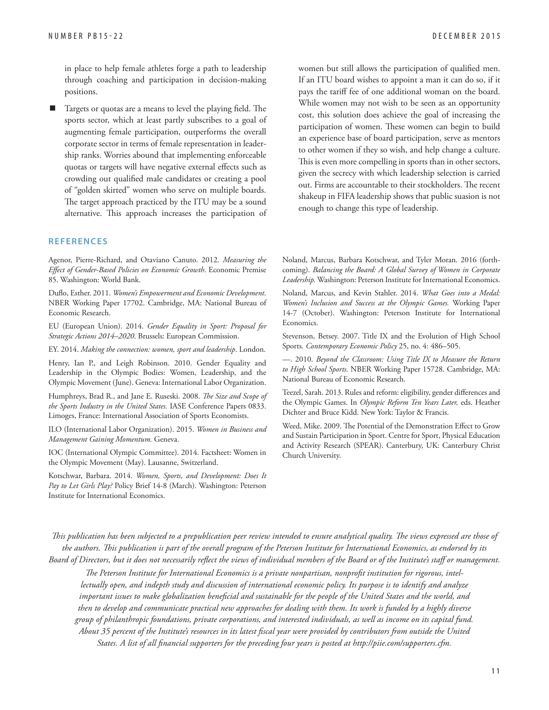in place to help female athletes forge a path to leadership through coaching and participation in decision-making positions.

Targets or quotas are a means to level the playing field. The sports sector, which at least partly subscribes to a goal of augmenting female participation, outperforms the overall corporate sector in terms of female representation in leadership ranks. Worries abound that implementing enforceable quotas or targets will have negative external effects such as crowding out qualified male candidates or creating a pool of "golden skirted" women who serve on multiple boards. The target approach practiced by the ITU may be a sound alternative. This approach increases the participation of

#### **REFERENCES**

Agenor, Pierre-Richard, and Otaviano Canuto. 2012. *Measuring the Eff ect of Gender-Based Policies on Economic Growth*. Economic Premise 85. Washington: World Bank.

Duflo, Esther. 2011. *Women's Empowerment and Economic Development*. NBER Working Paper 17702. Cambridge, MA: National Bureau of Economic Research.

EU (European Union). 2014. *Gender Equality in Sport: Proposal for Strategic Actions 2014–2020*. Brussels: European Commission.

EY. 2014. *Making the connection: women, sport and leadership*. London.

Henry, Ian P., and Leigh Robinson. 2010. Gender Equality and Leadership in the Olympic Bodies: Women, Leadership, and the Olympic Movement (June). Geneva: International Labor Organization.

Humphreys, Brad R., and Jane E. Ruseski. 2008. *The Size and Scope of the Sports Industry in the United States.* IASE Conference Papers 0833. Limoges, France: International Association of Sports Economists.

ILO (International Labor Organization). 2015. *Women in Business and Management Gaining Momentum.* Geneva.

IOC (International Olympic Committee). 2014. Factsheet: Women in the Olympic Movement (May). Lausanne, Switzerland.

Kotschwar, Barbara. 2014. *Women, Sports, and Development: Does It Pay to Let Girls Play?* Policy Brief 14-8 (March). Washington: Peterson Institute for International Economics.

women but still allows the participation of qualified men. If an ITU board wishes to appoint a man it can do so, if it pays the tariff fee of one additional woman on the board. While women may not wish to be seen as an opportunity cost, this solution does achieve the goal of increasing the participation of women. These women can begin to build an experience base of board participation, serve as mentors to other women if they so wish, and help change a culture. This is even more compelling in sports than in other sectors, given the secrecy with which leadership selection is carried out. Firms are accountable to their stockholders. The recent shakeup in FIFA leadership shows that public suasion is not enough to change this type of leadership.

Noland, Marcus, Barbara Kotschwar, and Tyler Moran. 2016 (forthcoming). *Balancing the Board: A Global Survey of Women in Corporate Leadership.* Washington: Peterson Institute for International Economics.

Noland, Marcus, and Kevin Stahler. 2014. *What Goes into a Medal: Women's Inclusion and Success at the Olympic Games.* Working Paper 14-7 (October). Washington: Peterson Institute for International Economics.

Stevenson, Betsey. 2007. Title IX and the Evolution of High School Sports. *Contemporary Economic Policy* 25, no. 4: 486–505.

—. 2010. *Beyond the Classroom: Using Title IX to Measure the Return to High School Sports*. NBER Working Paper 15728. Cambridge, MA: National Bureau of Economic Research.

Teezel, Sarah. 2013. Rules and reform: eligibility, gender differences and the Olympic Games. In *Olympic Reform Ten Years Later,* eds. Heather Dichter and Bruce Kidd. New York: Taylor & Francis.

Weed, Mike. 2009. The Potential of the Demonstration Effect to Grow and Sustain Participation in Sport. Centre for Sport, Physical Education and Activity Research (SPEAR). Canterbury, UK: Canterbury Christ Church University.

This publication has been subjected to a prepublication peer review intended to ensure analytical quality. The views expressed are those of the authors. This publication is part of the overall program of the Peterson Institute for International Economics, as endorsed by its Board of Directors, but it does not necessarily reflect the views of individual members of the Board or of the Institute's staff or management.

The Peterson Institute for International Economics is a private nonpartisan, nonprofit institution for rigorous, intel*lectually open, and indepth study and discussion of international economic policy. Its purpose is to identify and analyze*  important issues to make globalization beneficial and sustainable for the people of the United States and the world, and *then to develop and communicate practical new approaches for dealing with them. Its work is funded by a highly diverse group of philanthropic foundations, private corporations, and interested individuals, as well as income on its capital fund.*  About 35 percent of the Institute's resources in its latest fiscal year were provided by contributors from outside the United States. A list of all financial supporters for the preceding four years is posted at http://piie.com/supporters.cfm.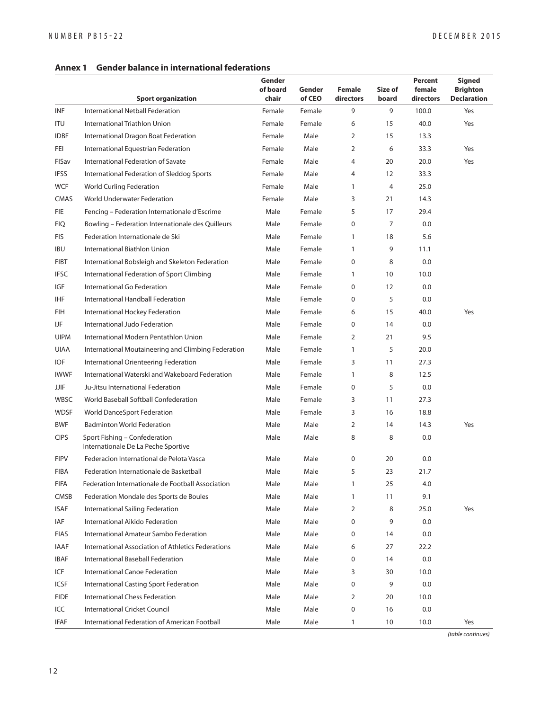#### **Annex 1 Gender balance in international federations**

|             | <b>Sport organization</b>                                            | Gender<br>of board<br>chair | Gender<br>of CEO | <b>Female</b><br>directors | Size of<br>board | Percent<br>female<br>directors | <b>Signed</b><br><b>Brighton</b><br><b>Declaration</b> |
|-------------|----------------------------------------------------------------------|-----------------------------|------------------|----------------------------|------------------|--------------------------------|--------------------------------------------------------|
| <b>INF</b>  | International Netball Federation                                     | Female                      | Female           | 9                          | 9                | 100.0                          | Yes                                                    |
| <b>ITU</b>  | International Triathlon Union                                        | Female                      | Female           | 6                          | 15               | 40.0                           | Yes                                                    |
| <b>IDBF</b> | International Dragon Boat Federation                                 | Female                      | Male             | 2                          | 15               | 13.3                           |                                                        |
| FEI         | International Equestrian Federation                                  | Female                      | Male             | 2                          | 6                | 33.3                           | Yes                                                    |
| FISav       | International Federation of Savate                                   | Female                      | Male             | 4                          | 20               | 20.0                           | Yes                                                    |
| <b>IFSS</b> | International Federation of Sleddog Sports                           | Female                      | Male             | 4                          | 12               | 33.3                           |                                                        |
| <b>WCF</b>  | <b>World Curling Federation</b>                                      | Female                      | Male             | $\mathbf{1}$               | 4                | 25.0                           |                                                        |
| <b>CMAS</b> | World Underwater Federation                                          | Female                      | Male             | 3                          | 21               | 14.3                           |                                                        |
| <b>FIE</b>  | Fencing - Federation Internationale d'Escrime                        | Male                        | Female           | 5                          | 17               | 29.4                           |                                                        |
| <b>FIQ</b>  | Bowling - Federation Internationale des Quilleurs                    | Male                        | Female           | 0                          | 7                | 0.0                            |                                                        |
| <b>FIS</b>  | Federation Internationale de Ski                                     | Male                        | Female           | $\mathbf{1}$               | 18               | 5.6                            |                                                        |
| <b>IBU</b>  | International Biathlon Union                                         | Male                        | Female           | $\mathbf{1}$               | 9                | 11.1                           |                                                        |
| <b>FIBT</b> | International Bobsleigh and Skeleton Federation                      | Male                        | Female           | 0                          | 8                | 0.0                            |                                                        |
| <b>IFSC</b> | International Federation of Sport Climbing                           | Male                        | Female           | $\mathbf{1}$               | 10               | 10.0                           |                                                        |
| IGF         | International Go Federation                                          | Male                        | Female           | 0                          | 12               | 0.0                            |                                                        |
| <b>IHF</b>  | International Handball Federation                                    | Male                        | Female           | 0                          | 5                | 0.0                            |                                                        |
| FIH         | International Hockey Federation                                      | Male                        | Female           | 6                          | 15               | 40.0                           | Yes                                                    |
| IJF         | International Judo Federation                                        | Male                        | Female           | 0                          | 14               | 0.0                            |                                                        |
| <b>UIPM</b> | International Modern Pentathlon Union                                | Male                        | Female           | 2                          | 21               | 9.5                            |                                                        |
| <b>UIAA</b> | International Moutaineering and Climbing Federation                  | Male                        | Female           | $\mathbf{1}$               | 5                | 20.0                           |                                                        |
| <b>IOF</b>  | International Orienteering Federation                                | Male                        | Female           | 3                          | 11               | 27.3                           |                                                        |
| <b>IWWF</b> | International Waterski and Wakeboard Federation                      | Male                        | Female           | $\mathbf{1}$               | 8                | 12.5                           |                                                        |
| JJIF        | Ju-Jitsu International Federation                                    | Male                        | Female           | 0                          | 5                | 0.0                            |                                                        |
| <b>WBSC</b> | World Baseball Softball Confederation                                | Male                        | Female           | 3                          | 11               | 27.3                           |                                                        |
| <b>WDSF</b> | <b>World DanceSport Federation</b>                                   | Male                        | Female           | 3                          | 16               | 18.8                           |                                                        |
| <b>BWF</b>  | <b>Badminton World Federation</b>                                    | Male                        | Male             | 2                          | 14               | 14.3                           | Yes                                                    |
| <b>CIPS</b> | Sport Fishing - Confederation<br>Internationale De La Peche Sportive | Male                        | Male             | 8                          | 8                | 0.0                            |                                                        |
| <b>FIPV</b> | Federacion International de Pelota Vasca                             | Male                        | Male             | 0                          | 20               | 0.0                            |                                                        |
| <b>FIBA</b> | Federation Internationale de Basketball                              | Male                        | Male             | 5                          | 23               | 21.7                           |                                                        |
| <b>FIFA</b> | Federation Internationale de Football Association                    | Male                        | Male             | 1                          | 25               | 4.0                            |                                                        |
| CMSB        | Federation Mondale des Sports de Boules                              | Male                        | Male             | 1                          | 11               | 9.1                            |                                                        |
| <b>ISAF</b> | International Sailing Federation                                     | Male                        | Male             | 2                          | 8                | 25.0                           | Yes                                                    |
| IAF         | International Aikido Federation                                      | Male                        | Male             | 0                          | 9                | 0.0                            |                                                        |
| <b>FIAS</b> | International Amateur Sambo Federation                               | Male                        | Male             | 0                          | 14               | 0.0                            |                                                        |
| <b>IAAF</b> | International Association of Athletics Federations                   | Male                        | Male             | 6                          | 27               | 22.2                           |                                                        |
| IBAF        | International Baseball Federation                                    | Male                        | Male             | 0                          | 14               | 0.0                            |                                                        |
| ICF         | International Canoe Federation                                       | Male                        | Male             | 3                          | 30               | 10.0                           |                                                        |
| ICSF        | International Casting Sport Federation                               | Male                        | Male             | 0                          | 9                | 0.0                            |                                                        |
| <b>FIDE</b> | International Chess Federation                                       | Male                        | Male             | 2                          | 20               | 10.0                           |                                                        |
| ICC         | <b>International Cricket Council</b>                                 | Male                        | Male             | 0                          | 16               | 0.0                            |                                                        |
| <b>IFAF</b> | International Federation of American Football                        | Male                        | Male             | $\mathbf{1}$               | 10               | 10.0                           | Yes                                                    |

(table continues)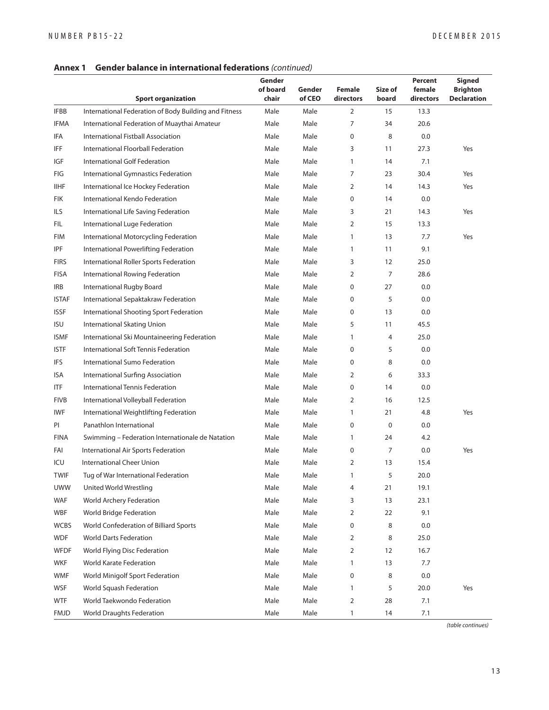#### **Annex 1 Gender balance in international federations** (continued)

|              | <b>Sport organization</b>                             | Gender<br>of board<br>chair | Gender<br>of CEO | <b>Female</b><br>directors | Size of<br>board | Percent<br>female<br>directors | <b>Signed</b><br><b>Brighton</b><br><b>Declaration</b> |
|--------------|-------------------------------------------------------|-----------------------------|------------------|----------------------------|------------------|--------------------------------|--------------------------------------------------------|
| <b>IFBB</b>  | International Federation of Body Building and Fitness | Male                        | Male             | $\overline{2}$             | 15               | 13.3                           |                                                        |
| <b>IFMA</b>  | International Federation of Muaythai Amateur          | Male                        | Male             | 7                          | 34               | 20.6                           |                                                        |
| IFA          | International Fistball Association                    | Male                        | Male             | 0                          | 8                | 0.0                            |                                                        |
| <b>IFF</b>   | International Floorball Federation                    | Male                        | Male             | 3                          | 11               | 27.3                           | Yes                                                    |
| IGF          | International Golf Federation                         | Male                        | Male             | $\mathbf{1}$               | 14               | 7.1                            |                                                        |
| FIG          | International Gymnastics Federation                   | Male                        | Male             | 7                          | 23               | 30.4                           | Yes                                                    |
| <b>IIHF</b>  | International Ice Hockey Federation                   | Male                        | Male             | 2                          | 14               | 14.3                           | Yes                                                    |
| FIK          | International Kendo Federation                        | Male                        | Male             | 0                          | 14               | 0.0                            |                                                        |
| ILS          | International Life Saving Federation                  | Male                        | Male             | 3                          | 21               | 14.3                           | Yes                                                    |
| FIL          | International Luge Federation                         | Male                        | Male             | 2                          | 15               | 13.3                           |                                                        |
| <b>FIM</b>   | International Motorcycling Federation                 | Male                        | Male             | 1                          | 13               | 7.7                            | Yes                                                    |
| <b>IPF</b>   | International Powerlifting Federation                 | Male                        | Male             | $\mathbf{1}$               | 11               | 9.1                            |                                                        |
| <b>FIRS</b>  | International Roller Sports Federation                | Male                        | Male             | 3                          | 12               | 25.0                           |                                                        |
| <b>FISA</b>  | International Rowing Federation                       | Male                        | Male             | 2                          | 7                | 28.6                           |                                                        |
| <b>IRB</b>   | International Rugby Board                             | Male                        | Male             | 0                          | 27               | 0.0                            |                                                        |
| <b>ISTAF</b> | International Sepaktakraw Federation                  | Male                        | Male             | 0                          | 5                | 0.0                            |                                                        |
| <b>ISSF</b>  | International Shooting Sport Federation               | Male                        | Male             | 0                          | 13               | 0.0                            |                                                        |
| <b>ISU</b>   | International Skating Union                           | Male                        | Male             | 5                          | 11               | 45.5                           |                                                        |
| <b>ISMF</b>  | International Ski Mountaineering Federation           | Male                        | Male             | $\mathbf{1}$               | 4                | 25.0                           |                                                        |
| <b>ISTF</b>  | International Soft Tennis Federation                  | Male                        | Male             | 0                          | 5                | 0.0                            |                                                        |
| <b>IFS</b>   | International Sumo Federation                         | Male                        | Male             | 0                          | 8                | 0.0                            |                                                        |
| ISA          | International Surfing Association                     | Male                        | Male             | 2                          | 6                | 33.3                           |                                                        |
| ITF          | International Tennis Federation                       | Male                        | Male             | 0                          | 14               | 0.0                            |                                                        |
| <b>FIVB</b>  | International Volleyball Federation                   | Male                        | Male             | 2                          | 16               | 12.5                           |                                                        |
| <b>IWF</b>   | International Weightlifting Federation                | Male                        | Male             | $\mathbf{1}$               | 21               | 4.8                            | Yes                                                    |
| PI           | Panathlon International                               | Male                        | Male             | 0                          | 0                | 0.0                            |                                                        |
| <b>FINA</b>  | Swimming - Federation Internationale de Natation      | Male                        | Male             | $\mathbf{1}$               | 24               | 4.2                            |                                                        |
| FAI          | International Air Sports Federation                   | Male                        | Male             | 0                          | 7                | 0.0                            | Yes                                                    |
| ICU          | <b>International Cheer Union</b>                      | Male                        | Male             | 2                          | 13               | 15.4                           |                                                        |
| <b>TWIF</b>  | Tug of War International Federation                   | Male                        | Male             | $\mathbf{1}$               | 5                | 20.0                           |                                                        |
| <b>UWW</b>   | United World Wrestling                                | Male                        | Male             | 4                          | 21               | 19.1                           |                                                        |
| WAF          | <b>World Archery Federation</b>                       | Male                        | Male             | 3                          | 13               | 23.1                           |                                                        |
| <b>WBF</b>   | World Bridge Federation                               | Male                        | Male             | 2                          | 22               | 9.1                            |                                                        |
| <b>WCBS</b>  | World Confederation of Billiard Sports                | Male                        | Male             | 0                          | 8                | 0.0                            |                                                        |
| <b>WDF</b>   | <b>World Darts Federation</b>                         | Male                        | Male             | 2                          | 8                | 25.0                           |                                                        |
| WFDF         | World Flying Disc Federation                          | Male                        | Male             | 2                          | 12               | 16.7                           |                                                        |
| <b>WKF</b>   | World Karate Federation                               | Male                        | Male             | $\mathbf{1}$               | 13               | 7.7                            |                                                        |
| <b>WMF</b>   | World Minigolf Sport Federation                       | Male                        | Male             | 0                          | 8                | 0.0                            |                                                        |
| WSF          | World Squash Federation                               | Male                        | Male             | $\mathbf{1}$               | 5                | 20.0                           | Yes                                                    |
| WTF          | World Taekwondo Federation                            | Male                        | Male             | 2                          | 28               | 7.1                            |                                                        |
| <b>FMJD</b>  | World Draughts Federation                             | Male                        | Male             | $\mathbf{1}$               | 14               | 7.1                            |                                                        |

(table continues)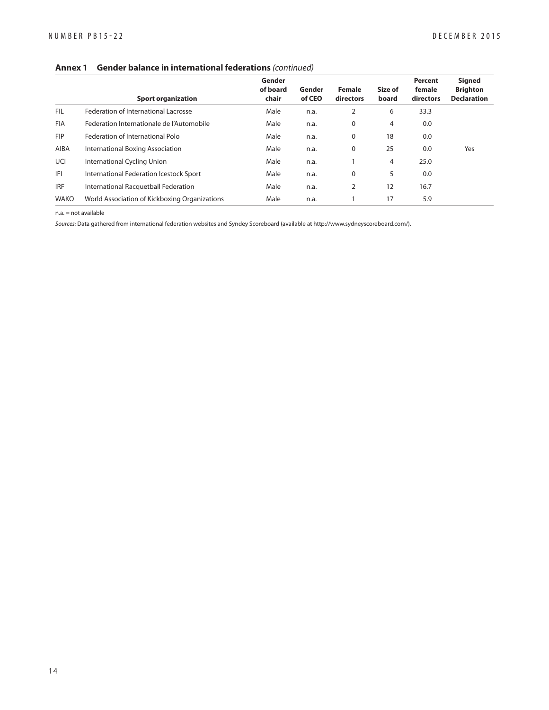#### **Annex 1 Gender balance in international federations** (continued)

|             | <b>Sport organization</b>                     | Gender<br>of board<br>chair | Gender<br>of CEO | <b>Female</b><br>directors | Size of<br>board | Percent<br>female<br>directors | <b>Signed</b><br><b>Brighton</b><br><b>Declaration</b> |
|-------------|-----------------------------------------------|-----------------------------|------------------|----------------------------|------------------|--------------------------------|--------------------------------------------------------|
| <b>FIL</b>  | Federation of International Lacrosse          | Male                        | n.a.             | 2                          | 6                | 33.3                           |                                                        |
| <b>FIA</b>  | Federation Internationale de l'Automobile     | Male                        | n.a.             | 0                          | 4                | 0.0                            |                                                        |
| <b>FIP</b>  | Federation of International Polo              | Male                        | n.a.             | 0                          | 18               | 0.0                            |                                                        |
| <b>AIBA</b> | International Boxing Association              | Male                        | n.a.             | 0                          | 25               | 0.0                            | Yes                                                    |
| UCI         | International Cycling Union                   | Male                        | n.a.             |                            | 4                | 25.0                           |                                                        |
| IFI         | International Federation Icestock Sport       | Male                        | n.a.             | $\mathbf 0$                | 5                | 0.0                            |                                                        |
| <b>IRF</b>  | International Racquetball Federation          | Male                        | n.a.             | 2                          | 12               | 16.7                           |                                                        |
| <b>WAKO</b> | World Association of Kickboxing Organizations | Male                        | n.a.             |                            | 17               | 5.9                            |                                                        |

n.a. = not available

Sources: Data gathered from international federation websites and Syndey Scoreboard (available at http://www.sydneyscoreboard.com/).